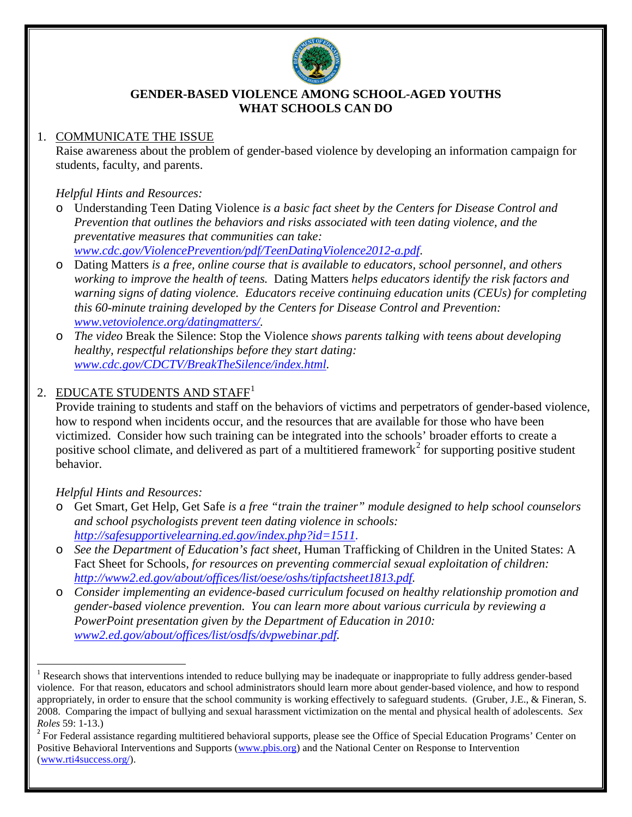

#### **GENDER-BASED VIOLENCE AMONG SCHOOL-AGED YOUTHS WHAT SCHOOLS CAN DO**

### 1. COMMUNICATE THE ISSUE

Raise awareness about the problem of gender-based violence by developing an information campaign for students, faculty, and parents.

### *Helpful Hints and Resources:*

- o Understanding Teen Dating Violence *is a basic fact sheet by the Centers for Disease Control and Prevention that outlines the behaviors and risks associated with teen dating violence, and the preventative measures that communities can take: [www.cdc.gov/ViolencePrevention/pdf/TeenDatingViolence2012-a.pdf](http://www.cdc.gov/ViolencePrevention/pdf/TeenDatingViolence2012-a.pdf)*.
- o Dating Matters *is a free, online course that is available to educators, school personnel, and others working to improve the health of teens.* Dating Matters *helps educators identify the risk factors and warning signs of dating violence. Educators receive continuing education units (CEUs) for completing this 60-minute training developed by the Centers for Disease Control and Prevention: [www.vetoviolence.org/datingmatters/.](http://www.vetoviolence.org/datingmatters/)*
- o *The video* Break the Silence: Stop the Violence *shows parents talking with teens about developing healthy, respectful relationships before they start dating: [www.cdc.gov/CDCTV/BreakTheSilence/index.html.](http://www.cdc.gov/CDCTV/BreakTheSilence/index.html)*

# 2. EDUCATE STUDENTS AND STAFF<sup>[1](#page-0-0)</sup>

Provide training to students and staff on the behaviors of victims and perpetrators of gender-based violence, how to respond when incidents occur, and the resources that are available for those who have been victimized.Consider how such training can be integrated into the schools' broader efforts to create a positive school climate, and delivered as part of a multitiered framework<sup>[2](#page-0-1)</sup> for supporting positive student behavior.

#### *Helpful Hints and Resources:*

- o Get Smart, Get Help, Get Safe *is a free "train the trainer" module designed to help school counselors and school psychologists prevent teen dating violence in schools: [http://safesupportivelearning.ed.gov/index.php?id=1511.](http://safesupportivelearning.ed.gov/index.php?id=1511)*
- o *See the Department of Education's fact sheet,* Human Trafficking of Children in the United States: A Fact Sheet for Schools*, for resources on preventing commercial sexual exploitation of children: [http://www2.ed.gov/about/offices/list/oese/oshs/tipfactsheet1813.pdf.](http://www2.ed.gov/about/offices/list/oese/oshs/tipfactsheet1813.pdf)*
- o *Consider implementing an evidence-based curriculum focused on healthy relationship promotion and gender-based violence prevention. You can learn more about various curricula by reviewing a PowerPoint presentation given by the Department of Education in 2010: [www2.ed.gov/about/offices/list/osdfs/dvpwebinar.pdf.](http://www2.ed.gov/about/offices/list/osdfs/dvpwebinar.pdf)*

<span id="page-0-0"></span><sup>&</sup>lt;sup>1</sup> Research shows that interventions intended to reduce bullying may be inadequate or inappropriate to fully address gender-based violence. For that reason, educators and school administrators should learn more about gender-based violence, and how to respond appropriately, in order to ensure that the school community is working effectively to safeguard students. (Gruber, J.E., & Fineran, S. 2008. Comparing the impact of bullying and sexual harassment victimization on the mental and physical health of adolescents. *Sex Roles* 59: 1-13.)<br><sup>2</sup> For Federal assistance regarding multitiered behavioral supports, please see the Office of Special Education Programs' Center on

<span id="page-0-1"></span>Positive Behavioral Interventions and Supports [\(www.pbis.org\)](http://www.pbis.org/) and the National Center on Response to Intervention [\(www.rti4success.org/\)](http://www.rti4success.org/).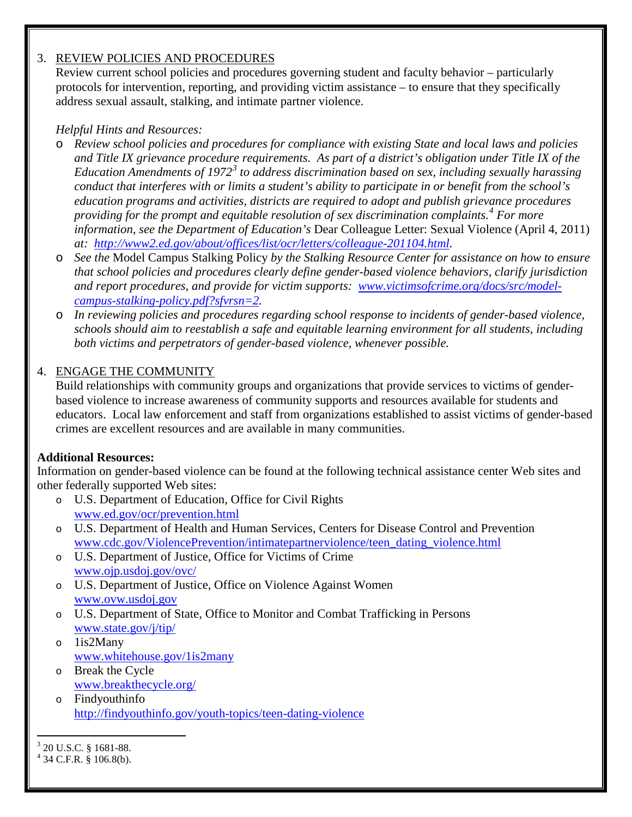## 3. REVIEW POLICIES AND PROCEDURES

Review current school policies and procedures governing student and faculty behavior – particularly protocols for intervention, reporting, and providing victim assistance – to ensure that they specifically address sexual assault, stalking, and intimate partner violence.

# *Helpful Hints and Resources:*

- o *Review school policies and procedures for compliance with existing State and local laws and policies and Title IX grievance procedure requirements. As part of a district's obligation under Title IX of the Education Amendments of 1972[3](#page-1-0) to address discrimination based on sex, including sexually harassing conduct that interferes with or limits a student's ability to participate in or benefit from the school's education programs and activities, districts are required to adopt and publish grievance procedures providing for the prompt and equitable resolution of sex discrimination complaints.[4](#page-1-1) For more information, see the Department of Education's* Dear Colleague Letter: Sexual Violence (April 4, 2011) *at: [http://www2.ed.gov/about/offices/list/ocr/letters/colleague-201104.html.](http://www2.ed.gov/about/offices/list/ocr/letters/colleague-201104.html)*
- o *See the* Model Campus Stalking Policy *by the Stalking Resource Center for assistance on how to ensure that school policies and procedures clearly define gender-based violence behaviors, clarify jurisdiction and report procedures, and provide for victim supports: [www.victimsofcrime.org/docs/src/model](http://www.victimsofcrime.org/docs/src/model-campus-stalking-policy.pdf?sfvrsn=2)[campus-stalking-policy.pdf?sfvrsn=2.](http://www.victimsofcrime.org/docs/src/model-campus-stalking-policy.pdf?sfvrsn=2)*
- o *In reviewing policies and procedures regarding school response to incidents of gender-based violence, schools should aim to reestablish a safe and equitable learning environment for all students, including both victims and perpetrators of gender-based violence, whenever possible.*

## 4. ENGAGE THE COMMUNITY

Build relationships with community groups and organizations that provide services to victims of genderbased violence to increase awareness of community supports and resources available for students and educators. Local law enforcement and staff from organizations established to assist victims of gender-based crimes are excellent resources and are available in many communities.

#### **Additional Resources:**

Information on gender-based violence can be found at the following technical assistance center Web sites and other federally supported Web sites:

- o U.S. Department of Education, Office for Civil Rights [www.ed.gov/ocr/prevention.html](http://www.ed.gov/ocr/prevention.html)
- o U.S. Department of Health and Human Services, Centers for Disease Control and Prevention [www.cdc.gov/ViolencePrevention/intimatepartnerviolence/teen\\_dating\\_violence.html](http://www.cdc.gov/ViolencePrevention/intimatepartnerviolence/teen_dating_violence.html)
- o U.S. Department of Justice, Office for Victims of Crime [www.ojp.usdoj.gov/ovc/](http://www.ojp.usdoj.gov/ovc/)
- o U.S. Department of Justice, Office on Violence Against Women [www.ovw.usdoj.gov](http://www.ovw.usdoj.gov/)
- o U.S. Department of State, Office to Monitor and Combat Trafficking in Persons [www.state.gov/j/tip/](http://www.state.gov/j/tip/)
- o 1is2Many [www.whitehouse.gov/1is2many](http://www.whitehouse.gov/1is2many)
- o Break the Cycle [www.breakthecycle.org/](http://www.breakthecycle.org/)
- o Findyouthinfo <http://findyouthinfo.gov/youth-topics/teen-dating-violence>

<span id="page-1-1"></span><span id="page-1-0"></span> $3^{3}$  20 U.S.C. § 1681-88.<br> $4^{4}$  34 C.F.R. § 106.8(b).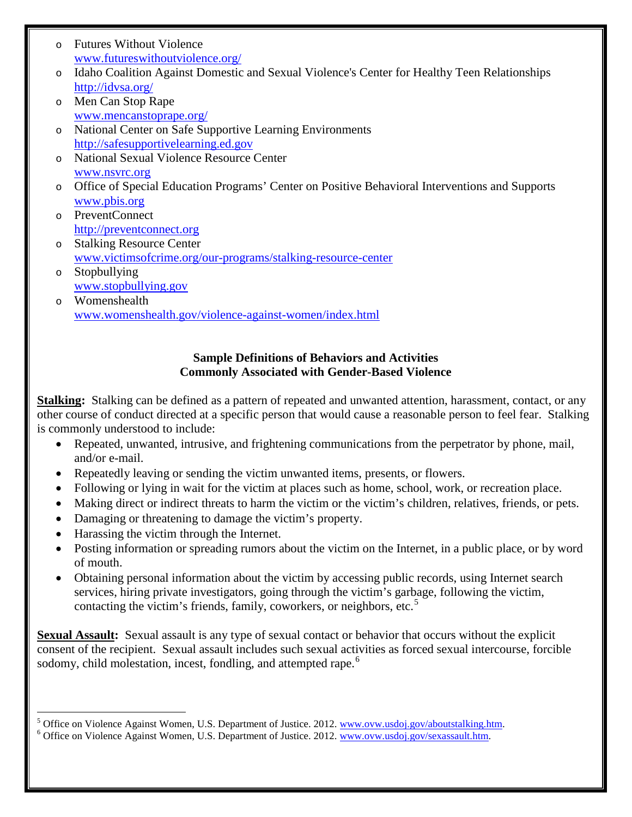- o Futures Without Violence [www.futureswithoutviolence.org/](http://www.futureswithoutviolence.org/)
- o Idaho Coalition Against Domestic and Sexual Violence's Center for Healthy Teen Relationships <http://idvsa.org/>
- o Men Can Stop Rape [www.mencanstoprape.org/](http://www.mencanstoprape.org/)
- o National Center on Safe Supportive Learning Environments [http://safesupportivelearning.ed.gov](http://safesupportivelearning.ed.gov/)
- o National Sexual Violence Resource Center [www.nsvrc.org](http://www.nsvrc.org/)
- o Office of Special Education Programs' Center on Positive Behavioral Interventions and Supports [www.pbis.org](http://www.pbis.org/)
- o PreventConnect [http://preventconnect.org](http://preventconnect.org/)
- o Stalking Resource Center [www.victimsofcrime.org/our-programs/stalking-resource-center](http://www.victimsofcrime.org/our-programs/stalking-resource-center)
- o Stopbullying [www.stopbullying.gov](http://www.stopbullying.gov/)
- o Womenshealth [www.womenshealth.gov/violence-against-women/index.html](http://www.womenshealth.gov/violence-against-women/index.html)

# **Sample Definitions of Behaviors and Activities Commonly Associated with Gender-Based Violence**

**Stalking:** Stalking can be defined as a pattern of repeated and unwanted attention, harassment, contact, or any other course of conduct directed at a specific person that would cause a reasonable person to feel fear. Stalking is commonly understood to include:

- Repeated, unwanted, intrusive, and frightening communications from the perpetrator by phone, mail, and/or e-mail.
- Repeatedly leaving or sending the victim unwanted items, presents, or flowers.
- Following or lying in wait for the victim at places such as home, school, work, or recreation place.
- Making direct or indirect threats to harm the victim or the victim's children, relatives, friends, or pets.
- Damaging or threatening to damage the victim's property.
- Harassing the victim through the Internet.
- Posting information or spreading rumors about the victim on the Internet, in a public place, or by word of mouth.
- Obtaining personal information about the victim by accessing public records, using Internet search services, hiring private investigators, going through the victim's garbage, following the victim, contacting the victim's friends, family, coworkers, or neighbors, etc.<sup>[5](#page-2-0)</sup>

**Sexual Assault:** Sexual assault is any type of sexual contact or behavior that occurs without the explicit consent of the recipient. Sexual assault includes such sexual activities as forced sexual intercourse, forcible sodomy, child molestation, incest, fondling, and attempted rape.<sup>[6](#page-2-1)</sup>

<span id="page-2-0"></span><sup>&</sup>lt;sup>5</sup> Office on Violence Against Women, U.S. Department of Justice. 2012. [www.ovw.usdoj.gov/aboutstalking.htm.](http://www.ovw.usdoj.gov/aboutstalking.htm) <sup>6</sup> Office on Violence Against Women, U.S. Department of Justice. 2012. [www.ovw.usdoj.gov/sexassault.htm.](http://www.ovw.usdoj.gov/sexassault.htm)

<span id="page-2-1"></span>